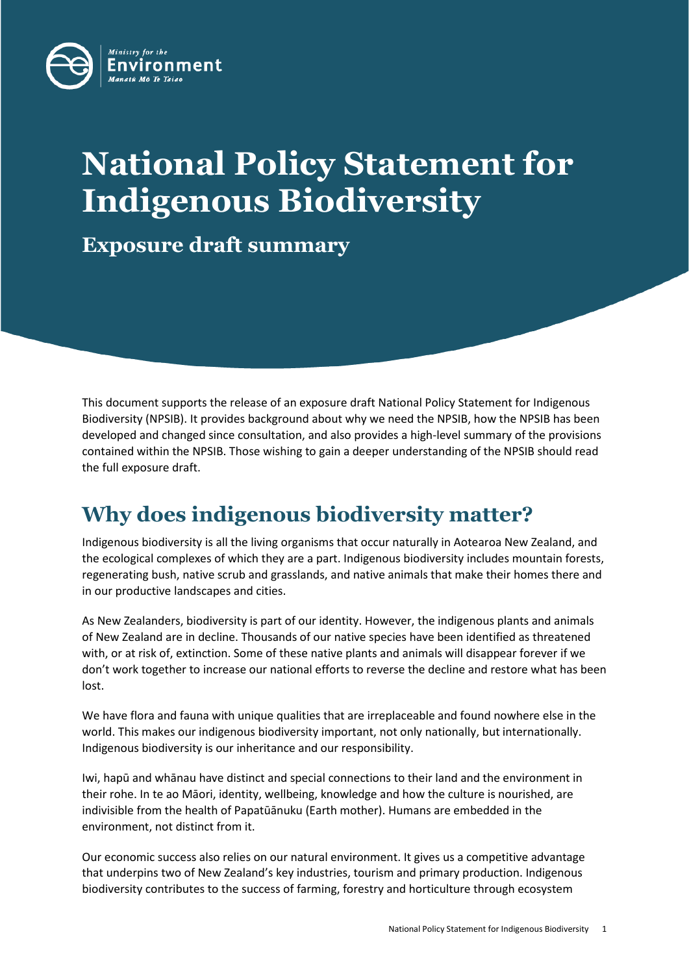

# **National Policy Statement for Indigenous Biodiversity**

**Exposure draft summary**

This document supports the release of an exposure draft National Policy Statement for Indigenous Biodiversity (NPSIB). It provides background about why we need the NPSIB, how the NPSIB has been developed and changed since consultation, and also provides a high-level summary of the provisions contained within the NPSIB. Those wishing to gain a deeper understanding of the NPSIB should read the full exposure draft.

### **Why does indigenous biodiversity matter?**

Indigenous biodiversity is all the living organisms that occur naturally in Aotearoa New Zealand, and the ecological complexes of which they are a part. Indigenous biodiversity includes mountain forests, regenerating bush, native scrub and grasslands, and native animals that make their homes there and in our productive landscapes and cities.

As New Zealanders, biodiversity is part of our identity. However, the indigenous plants and animals of New Zealand are in decline. Thousands of our native species have been identified as threatened with, or at risk of, extinction. Some of these native plants and animals will disappear forever if we don't work together to increase our national efforts to reverse the decline and restore what has been lost.

We have flora and fauna with unique qualities that are irreplaceable and found nowhere else in the world. This makes our indigenous biodiversity important, not only nationally, but internationally. Indigenous biodiversity is our inheritance and our responsibility.

Iwi, hapū and whānau have distinct and special connections to their land and the environment in their rohe. In te ao Māori, identity, wellbeing, knowledge and how the culture is nourished, are indivisible from the health of Papatūānuku (Earth mother). Humans are embedded in the environment, not distinct from it.

Our economic success also relies on our natural environment. It gives us a competitive advantage that underpins two of New Zealand's key industries, tourism and primary production. Indigenous biodiversity contributes to the success of farming, forestry and horticulture through ecosystem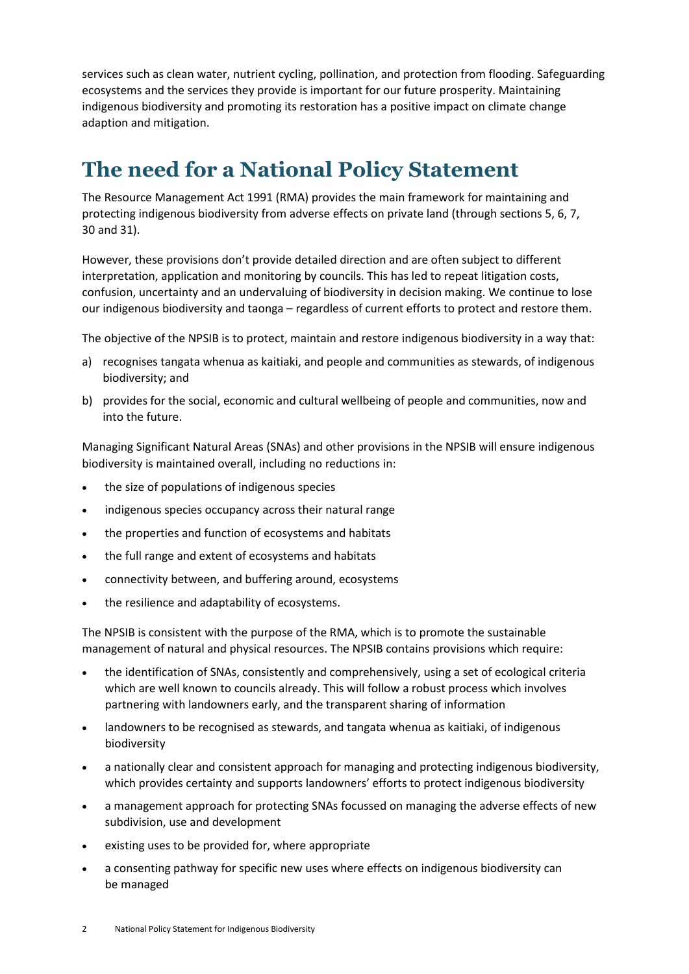services such as clean water, nutrient cycling, pollination, and protection from flooding. Safeguarding ecosystems and the services they provide is important for our future prosperity. Maintaining indigenous biodiversity and promoting its restoration has a positive impact on climate change adaption and mitigation.

### **The need for a National Policy Statement**

The Resource Management Act 1991 (RMA) provides the main framework for maintaining and protecting indigenous biodiversity from adverse effects on private land (through sections 5, 6, 7, 30 and 31).

However, these provisions don't provide detailed direction and are often subject to different interpretation, application and monitoring by councils. This has led to repeat litigation costs, confusion, uncertainty and an undervaluing of biodiversity in decision making. We continue to lose our indigenous biodiversity and taonga – regardless of current efforts to protect and restore them.

The objective of the NPSIB is to protect, maintain and restore indigenous biodiversity in a way that:

- a) recognises tangata whenua as kaitiaki, and people and communities as stewards, of indigenous biodiversity; and
- b) provides for the social, economic and cultural wellbeing of people and communities, now and into the future.

Managing Significant Natural Areas (SNAs) and other provisions in the NPSIB will ensure indigenous biodiversity is maintained overall, including no reductions in:

- the size of populations of indigenous species
- indigenous species occupancy across their natural range
- the properties and function of ecosystems and habitats
- the full range and extent of ecosystems and habitats
- connectivity between, and buffering around, ecosystems
- the resilience and adaptability of ecosystems.

The NPSIB is consistent with the purpose of the RMA, which is to promote the sustainable management of natural and physical resources. The NPSIB contains provisions which require:

- the identification of SNAs, consistently and comprehensively, using a set of ecological criteria which are well known to councils already. This will follow a robust process which involves partnering with landowners early, and the transparent sharing of information
- landowners to be recognised as stewards, and tangata whenua as kaitiaki, of indigenous biodiversity
- a nationally clear and consistent approach for managing and protecting indigenous biodiversity, which provides certainty and supports landowners' efforts to protect indigenous biodiversity
- a management approach for protecting SNAs focussed on managing the adverse effects of new subdivision, use and development
- existing uses to be provided for, where appropriate
- a consenting pathway for specific new uses where effects on indigenous biodiversity can be managed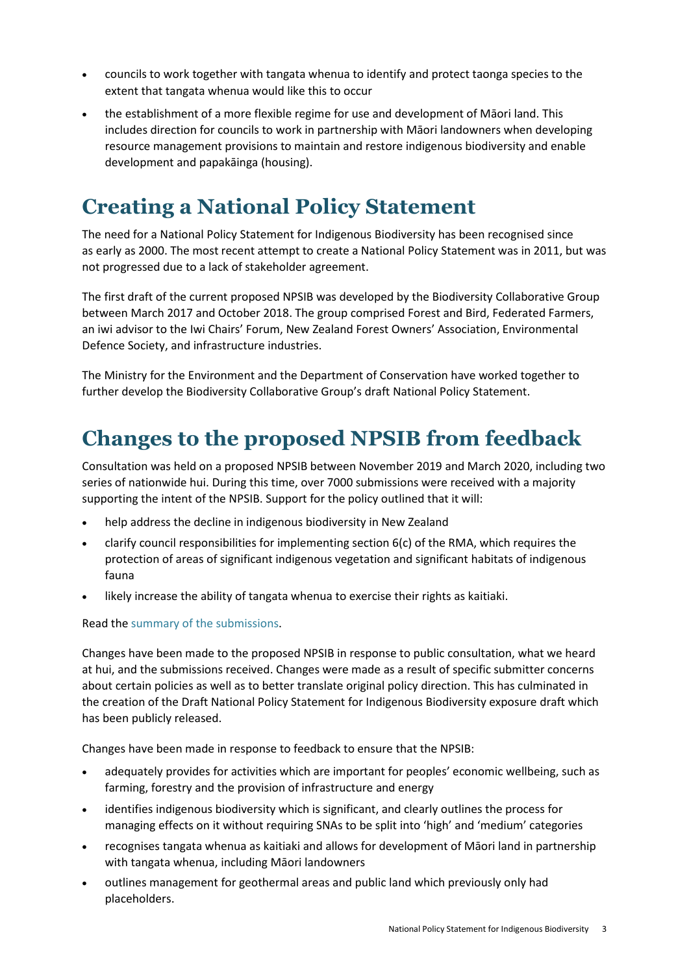- councils to work together with tangata whenua to identify and protect taonga species to the extent that tangata whenua would like this to occur
- the establishment of a more flexible regime for use and development of Māori land. This includes direction for councils to work in partnership with Māori landowners when developing resource management provisions to maintain and restore indigenous biodiversity and enable development and papakāinga (housing).

### **Creating a National Policy Statement**

The need for a National Policy Statement for Indigenous Biodiversity has been recognised since as early as 2000. The most recent attempt to create a National Policy Statement was in 2011, but was not progressed due to a lack of stakeholder agreement.

The first draft of the current proposed NPSIB was developed by the Biodiversity Collaborative Group between March 2017 and October 2018. The group comprised Forest and Bird, Federated Farmers, an iwi advisor to the Iwi Chairs' Forum, New Zealand Forest Owners' Association, Environmental Defence Society, and infrastructure industries.

The Ministry for the Environment and the Department of Conservation have worked together to further develop the Biodiversity Collaborative Group's draft National Policy Statement.

### **Changes to the proposed NPSIB from feedback**

Consultation was held on a proposed NPSIB between November 2019 and March 2020, including two series of nationwide hui. During this time, over 7000 submissions were received with a majority supporting the intent of the NPSIB. Support for the policy outlined that it will:

- help address the decline in indigenous biodiversity in New Zealand
- clarify council responsibilities for implementing section 6(c) of the RMA, which requires the protection of areas of significant indigenous vegetation and significant habitats of indigenous fauna
- likely increase the ability of tangata whenua to exercise their rights as kaitiaki.

Read the [summary of the submissions.](https://environment.govt.nz/publications/he-kura-koiora-i-hokia-a-proposed-national-policy-statement-for-indigenous-biodiversity-summary-of-submissions/)

Changes have been made to the proposed NPSIB in response to public consultation, what we heard at hui, and the submissions received. Changes were made as a result of specific submitter concerns about certain policies as well as to better translate original policy direction. This has culminated in the creation of the Draft National Policy Statement for Indigenous Biodiversity exposure draft which has been publicly released.

Changes have been made in response to feedback to ensure that the NPSIB:

- adequately provides for activities which are important for peoples' economic wellbeing, such as farming, forestry and the provision of infrastructure and energy
- identifies indigenous biodiversity which is significant, and clearly outlines the process for managing effects on it without requiring SNAs to be split into 'high' and 'medium' categories
- recognises tangata whenua as kaitiaki and allows for development of Māori land in partnership with tangata whenua, including Māori landowners
- outlines management for geothermal areas and public land which previously only had placeholders.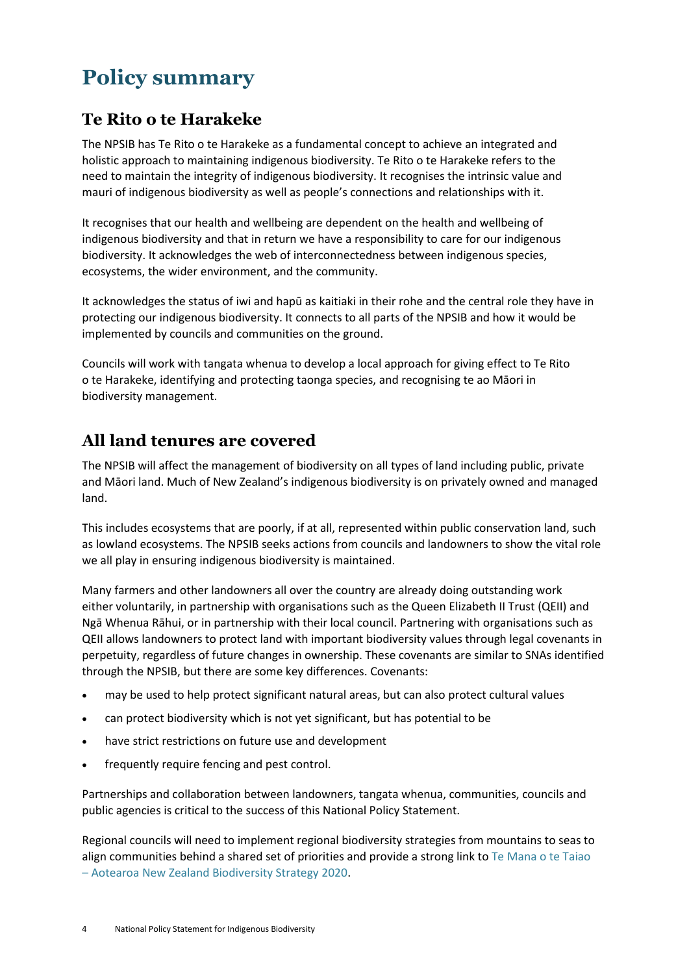## **Policy summary**

#### **Te Rito o te Harakeke**

The NPSIB has Te Rito o te Harakeke as a fundamental concept to achieve an integrated and holistic approach to maintaining indigenous biodiversity. Te Rito o te Harakeke refers to the need to maintain the integrity of indigenous biodiversity. It recognises the intrinsic value and mauri of indigenous biodiversity as well as people's connections and relationships with it.

It recognises that our health and wellbeing are dependent on the health and wellbeing of indigenous biodiversity and that in return we have a responsibility to care for our indigenous biodiversity. It acknowledges the web of interconnectedness between indigenous species, ecosystems, the wider environment, and the community.

It acknowledges the status of iwi and hapū as kaitiaki in their rohe and the central role they have in protecting our indigenous biodiversity. It connects to all parts of the NPSIB and how it would be implemented by councils and communities on the ground.

Councils will work with tangata whenua to develop a local approach for giving effect to Te Rito o te Harakeke, identifying and protecting taonga species, and recognising te ao Māori in biodiversity management.

#### **All land tenures are covered**

The NPSIB will affect the management of biodiversity on all types of land including public, private and Māori land. Much of New Zealand's indigenous biodiversity is on privately owned and managed land.

This includes ecosystems that are poorly, if at all, represented within public conservation land, such as lowland ecosystems. The NPSIB seeks actions from councils and landowners to show the vital role we all play in ensuring indigenous biodiversity is maintained.

Many farmers and other landowners all over the country are already doing outstanding work either voluntarily, in partnership with organisations such as the Queen Elizabeth II Trust (QEII) and Ngā Whenua Rāhui, or in partnership with their local council. Partnering with organisations such as QEII allows landowners to protect land with important biodiversity values through legal covenants in perpetuity, regardless of future changes in ownership. These covenants are similar to SNAs identified through the NPSIB, but there are some key differences. Covenants:

- may be used to help protect significant natural areas, but can also protect cultural values
- can protect biodiversity which is not yet significant, but has potential to be
- have strict restrictions on future use and development
- frequently require fencing and pest control.

Partnerships and collaboration between landowners, tangata whenua, communities, councils and public agencies is critical to the success of this National Policy Statement.

Regional councils will need to implement regional biodiversity strategies from mountains to seas to align communities behind a shared set of priorities and provide a strong link to [Te Mana o te Taiao](https://www.doc.govt.nz/nature/biodiversity/aotearoa-new-zealand-biodiversity-strategy/)  – [Aotearoa New Zealand Biodiversity Strategy](https://www.doc.govt.nz/nature/biodiversity/aotearoa-new-zealand-biodiversity-strategy/) 2020.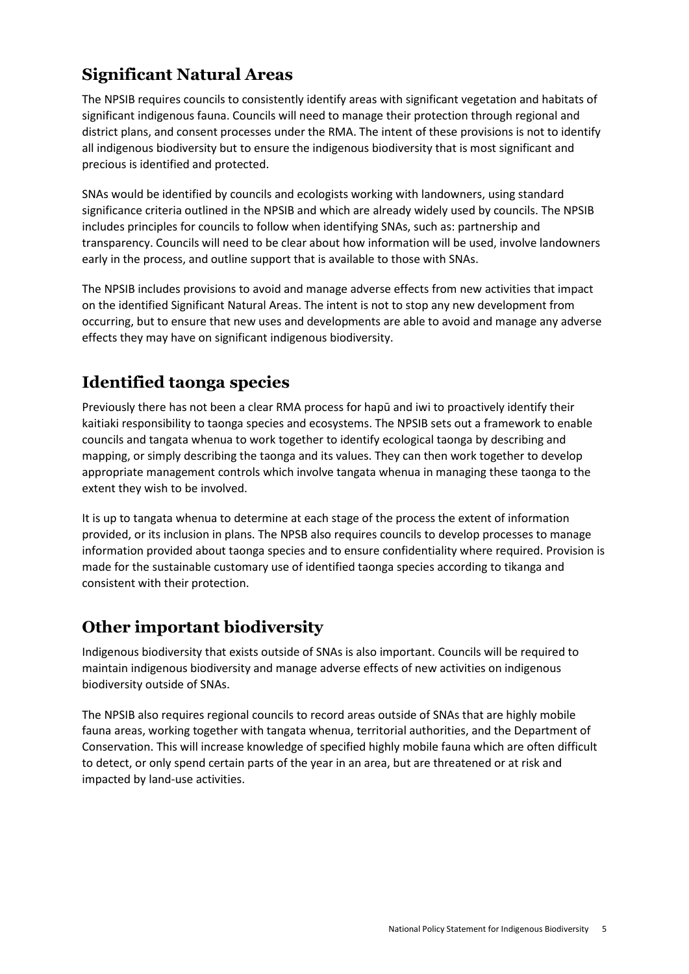#### **Significant Natural Areas**

The NPSIB requires councils to consistently identify areas with significant vegetation and habitats of significant indigenous fauna. Councils will need to manage their protection through regional and district plans, and consent processes under the RMA. The intent of these provisions is not to identify all indigenous biodiversity but to ensure the indigenous biodiversity that is most significant and precious is identified and protected.

SNAs would be identified by councils and ecologists working with landowners, using standard significance criteria outlined in the NPSIB and which are already widely used by councils. The NPSIB includes principles for councils to follow when identifying SNAs, such as: partnership and transparency. Councils will need to be clear about how information will be used, involve landowners early in the process, and outline support that is available to those with SNAs.

The NPSIB includes provisions to avoid and manage adverse effects from new activities that impact on the identified Significant Natural Areas. The intent is not to stop any new development from occurring, but to ensure that new uses and developments are able to avoid and manage any adverse effects they may have on significant indigenous biodiversity.

#### **Identified taonga species**

Previously there has not been a clear RMA process for hapū and iwi to proactively identify their kaitiaki responsibility to taonga species and ecosystems. The NPSIB sets out a framework to enable councils and tangata whenua to work together to identify ecological taonga by describing and mapping, or simply describing the taonga and its values. They can then work together to develop appropriate management controls which involve tangata whenua in managing these taonga to the extent they wish to be involved.

It is up to tangata whenua to determine at each stage of the process the extent of information provided, or its inclusion in plans. The NPSB also requires councils to develop processes to manage information provided about taonga species and to ensure confidentiality where required. Provision is made for the sustainable customary use of identified taonga species according to tikanga and consistent with their protection.

#### **Other important biodiversity**

Indigenous biodiversity that exists outside of SNAs is also important. Councils will be required to maintain indigenous biodiversity and manage adverse effects of new activities on indigenous biodiversity outside of SNAs.

The NPSIB also requires regional councils to record areas outside of SNAs that are highly mobile fauna areas, working together with tangata whenua, territorial authorities, and the Department of Conservation. This will increase knowledge of specified highly mobile fauna which are often difficult to detect, or only spend certain parts of the year in an area, but are threatened or at risk and impacted by land-use activities.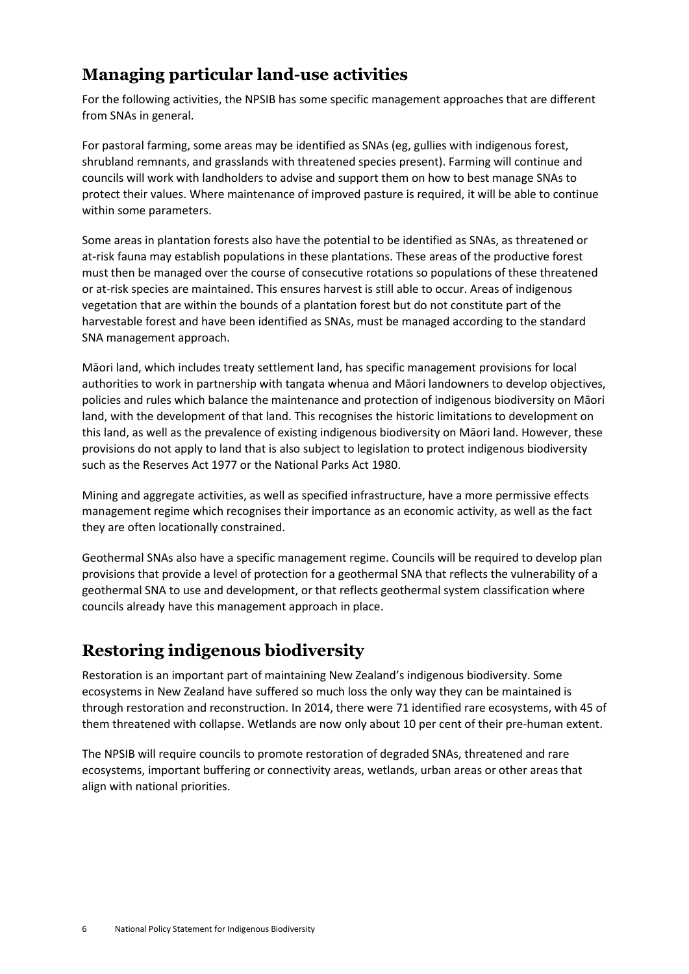#### **Managing particular land-use activities**

For the following activities, the NPSIB has some specific management approaches that are different from SNAs in general.

For pastoral farming, some areas may be identified as SNAs (eg, gullies with indigenous forest, shrubland remnants, and grasslands with threatened species present). Farming will continue and councils will work with landholders to advise and support them on how to best manage SNAs to protect their values. Where maintenance of improved pasture is required, it will be able to continue within some parameters.

Some areas in plantation forests also have the potential to be identified as SNAs, as threatened or at-risk fauna may establish populations in these plantations. These areas of the productive forest must then be managed over the course of consecutive rotations so populations of these threatened or at-risk species are maintained. This ensures harvest is still able to occur. Areas of indigenous vegetation that are within the bounds of a plantation forest but do not constitute part of the harvestable forest and have been identified as SNAs, must be managed according to the standard SNA management approach.

Māori land, which includes treaty settlement land, has specific management provisions for local authorities to work in partnership with tangata whenua and Māori landowners to develop objectives, policies and rules which balance the maintenance and protection of indigenous biodiversity on Māori land, with the development of that land. This recognises the historic limitations to development on this land, as well as the prevalence of existing indigenous biodiversity on Māori land. However, these provisions do not apply to land that is also subject to legislation to protect indigenous biodiversity such as the Reserves Act 1977 or the National Parks Act 1980.

Mining and aggregate activities, as well as specified infrastructure, have a more permissive effects management regime which recognises their importance as an economic activity, as well as the fact they are often locationally constrained.

Geothermal SNAs also have a specific management regime. Councils will be required to develop plan provisions that provide a level of protection for a geothermal SNA that reflects the vulnerability of a geothermal SNA to use and development, or that reflects geothermal system classification where councils already have this management approach in place.

#### **Restoring indigenous biodiversity**

Restoration is an important part of maintaining New Zealand's indigenous biodiversity. Some ecosystems in New Zealand have suffered so much loss the only way they can be maintained is through restoration and reconstruction. In 2014, there were 71 identified rare ecosystems, with 45 of them threatened with collapse. Wetlands are now only about 10 per cent of their pre-human extent.

The NPSIB will require councils to promote restoration of degraded SNAs, threatened and rare ecosystems, important buffering or connectivity areas, wetlands, urban areas or other areas that align with national priorities.